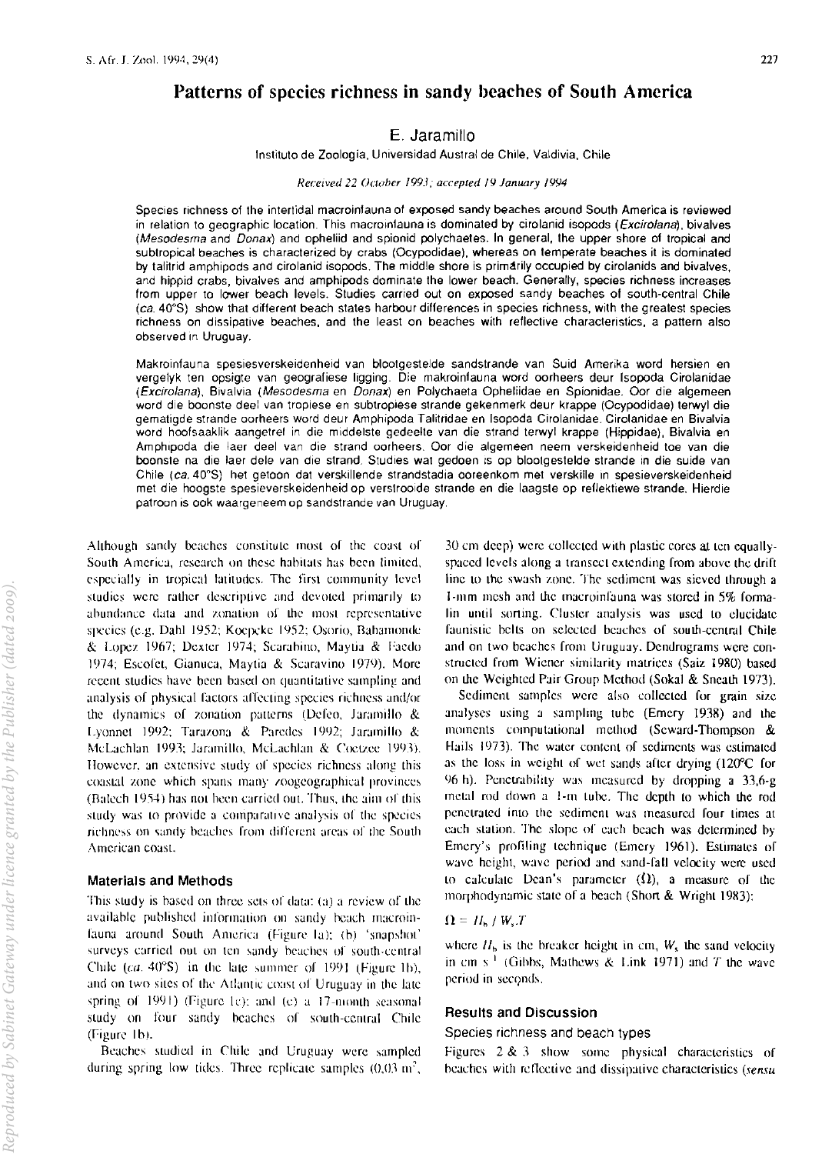# Patterns of species richness in sandy beaches of South America

# E. Jaramillo

Instituto de Zoologia, Universidad Austral de Chile, Valdivia, Chile

#### *Received 22 October 1993; accepted 19 January 1994*

Species richness of the intertidal macroinfauna of exposed sandy beaches around South America is reviewed in relation to geographic location. This macroinfauna is dominated by cirolanid isopods (*Excirolana*), bivalves (Mesodesma and Donax) and opheliid and spionid polychaetes. In general, the upper shore of tropical and subtropical beaches is characterized by crabs (Ocypodidae). whereas on temperate beaches it is dominated by talitrid amphipods and cirolanid isopods. The middle shore is primarily occupied by cirolanids and bivalves, and hippid crabs, bivalves and amphipods dominate the lower beach. Generally, species richness increases from upper to lower beach levels. Studies carried out on exposed sandy beaches of south-central Chile (ca. 40"8) show that different beach states harbour differences in species richness, with the greatest species richness on dissipative beaches, and the least on beaches with reflective characteristics, a pattern also observed in Uruguay.

Makroinfauna spesiesverskeidenheid van blootgestelde sandstrande van Suid Amerika word hersien en vergelyk ten opsigte van geografiese ligging. Die makroinfauna word oorheers deur (sopoda Cirolanidae (Excirolana) , Bivalvia (Mesodesma en Donax) en Polychaeta Opheliidae en Spionidae. Oor die algemeen word die boonste deel van tropiese en subtropiese strande gekenmerk deur krappe (Ocypodidae) terwyl die gematigde strande oorheers word deur Amphipoda Talitridae en Isopoda Cirolanidae. Cirolanidae en Bivalvia word hoofsaaklik aangetrel in die middelste gedeelte van die strand terwyl krappe (Hippidae), Bivalvia en Amphlpoda die laer deel van die strand oorheers. Oor die algemeen neem verskeidenheid toe van die boonste na die laer dele van die strand. Studies wat gedoen is op blootgestelde strande in die suide van Chile (ca. 40°S) het getoon dat verskillende strandstadia ooreenkom met verskille in spesieverskeidenheid met die hoogste spesieverskeidenheid op verstroolde strande en die laagste op rellektjewe strande. Hierdie patroon is ook waargeneem op sandstrande van Uruguay.

Although sandy beaches constitute most of the coast of South America, research on these habitats has been limited, especially in tropical latitudes. The first community level studies were rather descriptive and devoted primarily to abundance data and zonation of the most representative species (e.g. Dahl 1952; Koepcke 1952; Osorio, Bahamonde & Lopez 1967; Dexter 1974; Scarabino, Maytia & Faedo 1974; Escofet, Gianuca, Maytia & Scaravino 1979). More recent studies have been based on quantitative sampling and analysis of physical factors affecting species richness and/or the dynamics of zonation patterns (Defeo, Jaramillo  $\&$ Lyonnet 1992; Tarazona & Paredes 1992; Jaramillo & McLachlan 1993; Jaramillo, McLachlan & Coetzee 1993). However, an extensive study of species richness along this coastal zone which spans many zoogeographical provinces (Balech 1954) has not been carried out. Thus, the aim of this study was to provide a comparative analysis of the species richness on sandy beaches from different areas of the South American coast.

#### Materials and Methods

This study is hased on three sets of data: (a) a review of the availahle puhlished information on sandy hcach rnacroinfauna around South America (Figure la); (b) 'snapshot' surveys carried out on ten sandy beaches of south-central Chile (ca.  $40^{\circ}$ S) in the late summer of 1991 (Figure 1b), and on two sites of the Atlantic coast of Uruguay in the late spring of  $1991$ ) (Figure Ic): and (c) a 17-month seasonal study on four sandy beaches of south-central Chile  $(Figure 1b)$ .

Beaches studied in Chile and Uruguay were sampled during spring low tides. Three replicate samples  $(0,03 \text{ m}^2,$ 

 $30 \text{ cm}$  deep) were collected with plastic cores at ten equallyspaced levels along a transect extending from above the drift line to the swash zone. The sediment was sieved through a J-mm mesh and the macroinfauna was stored in 5% formalin until sorting. Cluster analysis was used to elucidate faunistic belts on selected beaches of south-central Chile and on two beaches from Uruguay. Dendrograms were constructed from Wiener similarity matrices (Saiz 1980) based on the Weighted Pair Group Method (Sokal & Sneath 1973).

Sediment samples were also collected for grain size analyses using a sampling tube (Emery 1938) and the moments computational method (Seward-Thompson  $\&$ Hails 1973). The water content of sediments was estimated as the loss in weight of wet sands after drying  $(120^{\circ}C)$  for 96 h). Penetrability was measured by dropping a  $33,6-g$ metal rod down a 1-m tube. The depth to which the rod penetrated into the sediment was measured four times at each station. The slope of each beach was determined by Emery's profiling technique (Emery 1961). Estimates of wave height, wave period and sand-fall velocity were used to calculate Dean's parameter  $(\Omega)$ , a measure of the morphodynamic state of a beach (Short & Wright 1983):

## $\Omega = H_h / W_s T$

where  $H<sub>b</sub>$  is the breaker height in cm,  $W<sub>s</sub>$  the sand velocity in cm s<sup>-1</sup> (Gibbs, Mathews & Link 1971) and *T* the wave period in seconds.

#### Results and Discussion

Species richness and beach types

Figures  $2 \& 3$  show some physical characteristics of beaches with reflective and dissipative characteristics (sensu-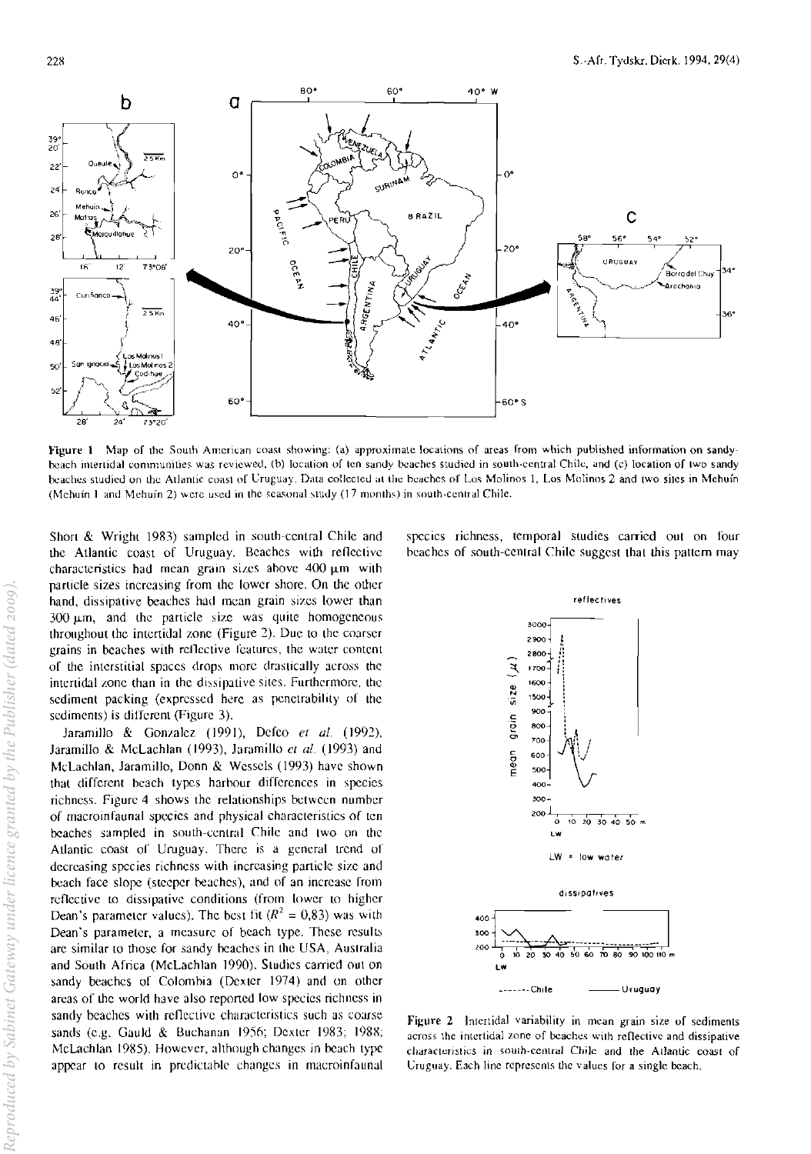

Figure 1 Map of the South American coast showing: (a) approximate locations of areas from which published information on sandybeach intertidal communities was reviewed, (b) location of ten sandy beaches studied in south-central Chile, and (c) location of two sandy beaches studied on the Atlantic coast of Uruguay. Data collected at the beaches of Los Molinos 1, Los Molinos 2 and two sites in Mehuín (Mehuín 1 and Mehuín 2) were used in the seasonal study (17 months) in south-central Chile.

Short & Wright 1983) sampled in south-central Chile and the Atlantic coast of Uruguay. Beaches with reflective characteristics had mean grain sizes above  $400 \mu m$  with particle sizes increasing from the lower shore. On the other hand, dissipative beaches had mean grain sizes lower than 300 µm, and the particle size was quite homogeneous throughout the intertidal zone (Figure 2). Due to the coarser grains in beaches with reflective features, the water content of the interstitial spaces drops more drastically across the intertidal zone than in the dissipative sites. Furthermore, the sediment packing (expressed here as penetrability of the sediments) is different (Figure 3).

Jaramillo & Gonzalez (1991), Defeo et al. (1992), Jaramillo & McLachlan (1993), Jaramillo et al. (1993) and McLachlan, Jaramillo, Donn & Wessels (1993) have shown that different beach types harbour differences in species nchness. Figure 4 shows the relationships between number of macroinfaunal species and physical characteristics of ten beaches sampled in south-central Chile and two on the Atlantic coast of Uruguay. There is a general trend of decreasing species richness with increasing particle size and beach face slope (steeper beaches), and of an increase from reflective to dissipative conditions (from lower to higher Dean's parameter values). The best fit ( $R^2 = 0.83$ ) was with Dean's parameter, a measure of beach type. These results are similar to those for sandy beaches in the USA, Australia and South Africa (McLachlan 1990). Studies carried out on sandy beaches of Colombia (Dexter 1974) and on other areas of the world have also reported low species richness in sandy beaches with reflective characteristics such as coarse sands (e.g. Gauld & Buchanan 1956; Dexter 1983; 1988; McLachlan 1985). However, although changes in beach type appear to result in predictable changes in macroinfaunal

species richness, temporal studies carried out on four beaches of south-central Chile suggest that this pattern may



Figure 2 Intertidal variability in mean grain size of sediments across the intertidal zone of beaches with reflective and dissipative characteristics in south-central Chile and the Atlantic coast of Uruguay. Each line represents the values for a single beach,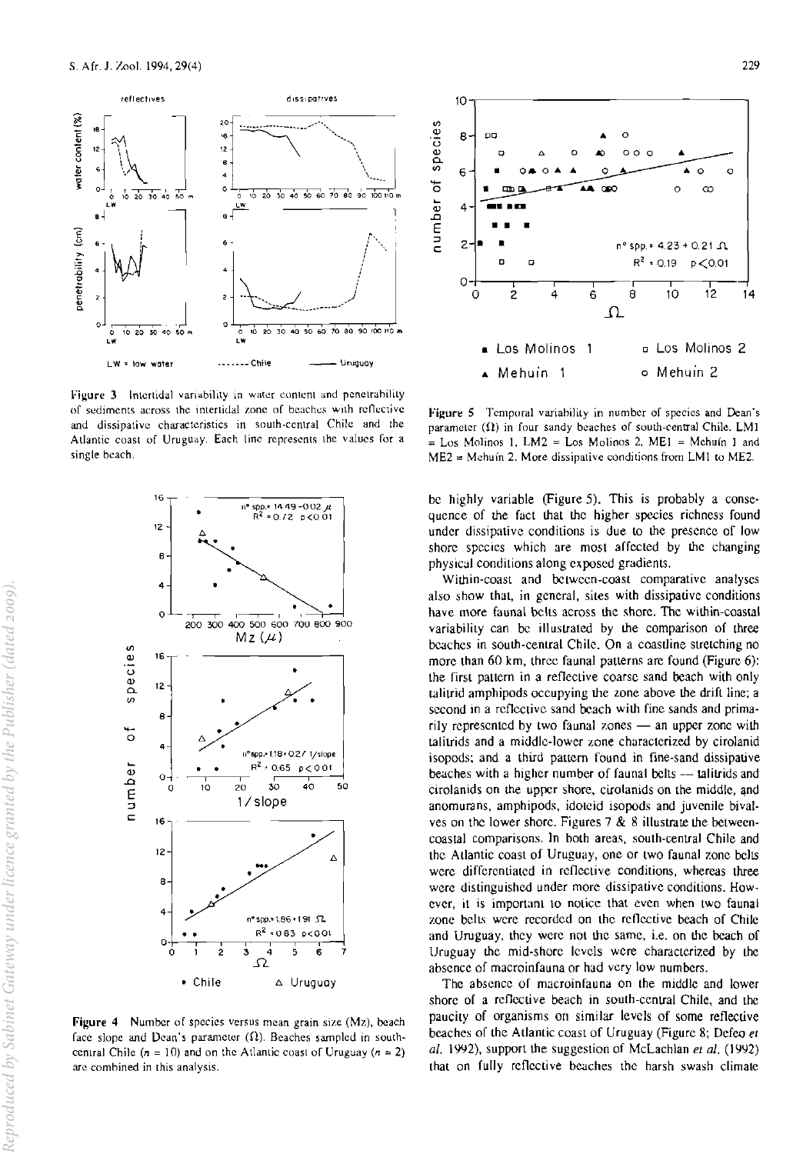

Figure 3 Intertidal variability in water content and penetrability of sediments across the intertidal zone of beaches with reflective and dissipative characteristics in south-central Chile and the Atlantic coast of Uruguay. Each line represents the values for a single beach.



Figure 4 Number of species versus mean grain size (Mz), beach face slope and Dean's parameter  $(\Omega)$ . Beaches sampled in southcentral Chile ( $n = 10$ ) and on the Atlantic coast of Uruguay ( $n = 2$ ) are combined in this analysis.



Figure 5 Temporal variability in number of species and Dean's parameter  $(1)$  in four sandy beaches of south-central Chile, LM1 = Los Molinos 1, LM2 = Los Molinos 2, ME1 = Mehuín 1 and  $ME2 = M$ chuín 2. More dissipative conditions from LM1 to ME2.

be highly variable (Figure 5). This is probably a consequence of the fact that the higher species richness found under dissipative conditions is due to the presence of low shore species which are most affected by the changing physical conditions along exposed gradients.

Within-coast and between-coast comparative analyses also show that, in general, sites with dissipative conditions have more faunal belts across the shore. The within-coastal variability can be illustrated by the comparison of three beaches in south-central Chile. On a coastline stretching no more than 60 km, three faunal patterns are found (Figure 6): the first pattern in a reflective coarse sand beach with only talitrid amphipods occupying the zone above the drift line; a second in a reflective sand beach with fine sands and primarily represented by two faunal zones - an upper zone with talitrids and a middle-lower zone characterized by cirolanid isopods; and a third pattern found in fine-sand dissipative beaches with a higher number of faunal belts — talitrids and cirolanids on the upper shore, cirolanids on the middle, and anomurans, amphipods, idoteid isopods and juvenile bivalves on the lower shore. Figures  $7 & 8 & 8$  illustrate the betweencoastal comparisons. In both areas, south-central Chile and the Atlantic coast of Uruguay, one or two faunal zone belts were differentiated in reflective conditions, whereas three were distinguished under more dissipative conditions. However, it is important to notice that even when two faunal zone belts were recorded on the reflective beach of Chile and Uruguay, they were not the same, i.e. on the beach of Uruguay the mid-shore levels were characterized by the absence of macroinfauna or had very low numbers.

The absence of macroinfauna on the middle and lower shore of a reflective beach in south-central Chile, and the paucity of organisms on similar levels of some reflective beaches of the Atlantic coast of Uruguay (Figure 8; Defeo et al. 1992), support the suggestion of McLachlan et al. (1992) that on fully reflective beaches the harsh swash climate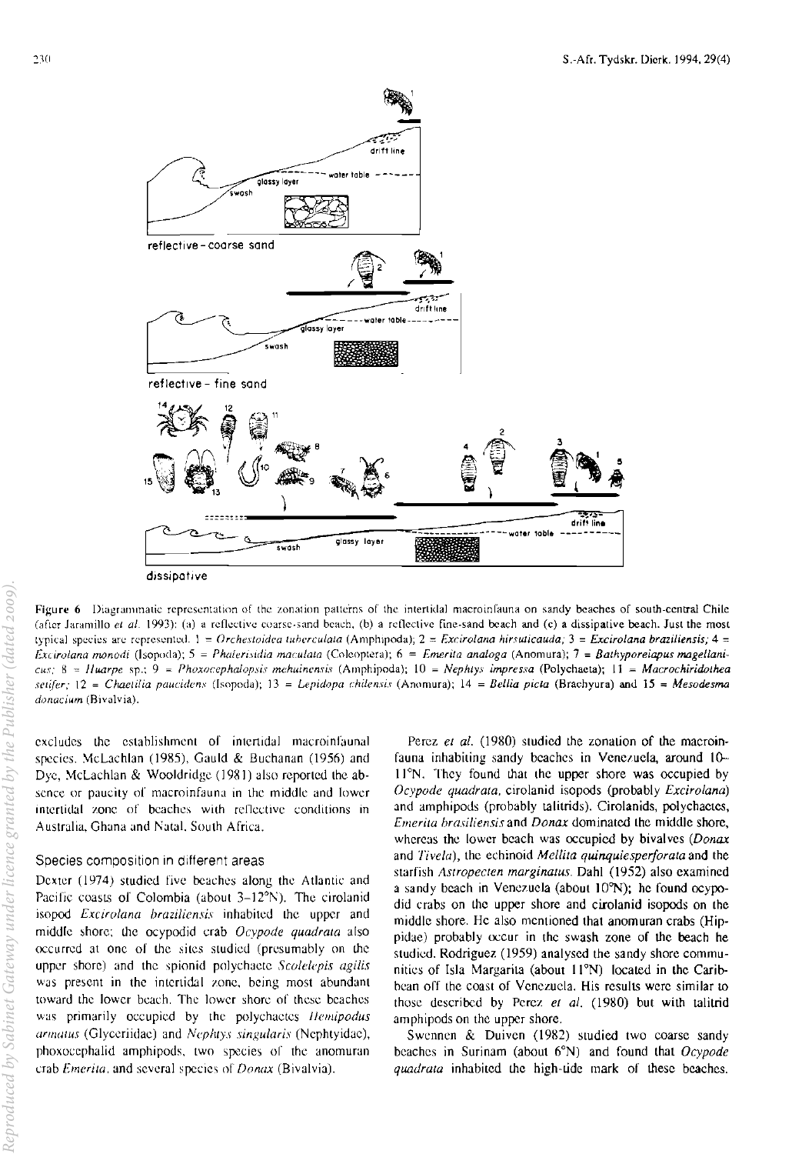

Figure 6. Diagrammatic representation of the zonation patterns of the intertidal macroinfauna on sandy beaches of south-central Chile (after Jaramillo et al. 1993); (a) a reflective coarse-sand beach, (b) a reflective fine-sand beach and (c) a dissipative beach. Just the most typical species are represented.  $1 =$  Orchestoidea tuberculata (Amphipoda);  $2 = Excirolana hirsuticauda$ ;  $3 = Excirolana braziliensis$ ;  $4 =$ Excirolana monodi (Isopoda); 5 = Phalerisidia maculata (Coleoptera); 6 = Emerita analoga (Anomura); 7 = Bathyporeiapus magellani $cus$ ; 8 = Huarpe sp.; 9 = Phoxocephalopsis mehuinensis (Amphipoda); 10 = Nephtys impressa (Polychaeta); 11 = Macrochiridothea setifer;  $12 =$  Chaetilia paucidens (Isopoda);  $13 =$  Lepidopa chilensis (Anomura);  $14 =$  Bellia picta (Brachyura) and  $15 =$  Mesodesma donacium (Bivalvia).

excludes the establishment of intertidal macroinfaunal species, McLachlan (1985), Gauld & Buchanan (1956) and Dye, McLachlan & Wooldridge (1981) also reported the absence or paucity of macroinfauna in the middle and lower intertidal zone of beaches with reflective conditions in Australia, Ghana and Natal, South Africa.

## Species composition in different areas

Dexter (1974) studied five beaches along the Atlantic and Pacific coasts of Colombia (about  $3-12^{\circ}N$ ). The cirolanid isopod Excirolana braziliensis inhabited the upper and middle shore; the ocypodid crab Ocypode quadrata also occurred at one of the sites studied (presumably on the upper shore) and the spionid polychaete Scolelepis agilis was present in the intertidal zone, being most abundant toward the lower beach. The lower shore of these beaches was primarily occupied by the polychaetes Hemipodus armatus (Glyceriidae) and Nephtys singularis (Nephtyidae), phoxocephalid amphipods, two species of the anomuran crab Emerita, and several species of Donax (Bivalvia).

Perez et al. (1980) studied the zonation of the macroinfauna inhabiting sandy beaches in Venezuela, around 10-11°N. They found that the upper shore was occupied by Ocypode quadrata, cirolanid isopods (probably Excirolana) and amphipods (probably talitrids). Cirolanids, polychaetes, *Emerita brasiliensis* and *Donax* dominated the middle shore, whereas the lower beach was occupied by bivalves (Donax and Tivela), the echinoid Mellita quinquiesperforata and the starfish Astropecten marginatus. Dahl (1952) also examined a sandy beach in Venezuela (about 10°N); he found ocypodid crabs on the upper shore and cirolanid isopods on the middle shore. He also mentioned that anomuran crabs (Hippidae) probably occur in the swash zone of the beach he studied. Rodriguez (1959) analysed the sandy shore communities of Isla Margarita (about 11°N) located in the Caribbean off the coast of Venezuela. His results were similar to those described by Perez et al. (1980) but with talitrid amphipods on the upper shore.

Swennen & Duiven (1982) studied two coarse sandy beaches in Surinam (about  $6^{\circ}$ N) and found that Ocypode quadrata inhabited the high-tide mark of these beaches.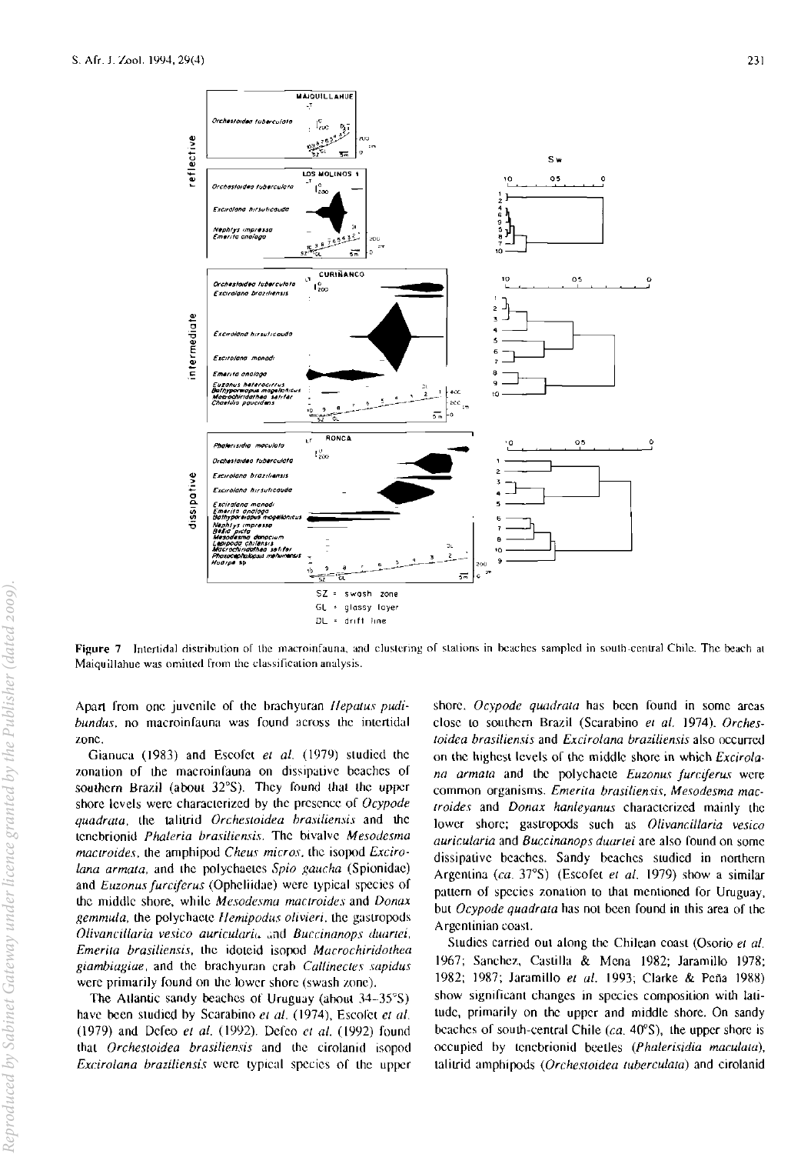

Figure 7. Intertidal distribution of the macroinfauna, and clustering of stations in beaches sampled in south-central Chile. The beach at Maiquillahue was omitted from the classification analysis.

Apart from one juvenile of the brachyuran *Hepatus pudi*bundus, no macroinfauna was found across the intertidal zone.

Gianuca (1983) and Escofet et al. (1979) studied the zonation of the macroinfauna on dissipative beaches of southern Brazil (about 32°S). They found that the upper shore levels were characterized by the presence of  $Ocypode$ quadrata, the talitrid Orchestoidea brasiliensis and the tenebrionid *Phaleria brasiliensis*. The bivalve Mesodesma mactroides, the amphipod Cheus micros, the isopod Excirolana armata, and the polychaetes Spio gaucha (Spionidae) and *Euzonus furciferus* (Opheliidae) were typical species of the middle shore, while Mesodesma mactroides and Donax gemmula, the polychaete Hemipodus olivieri, the gastropods Olivancillaria vesico auricularia and Buccinanops duartei, Emerita brasiliensis, the idoteid isopod Macrochiridothea giambiagiae, and the brachyuran crab Callinectes sapidus were primarily found on the lower shore (swash zone).

The Atlantic sandy beaches of Uruguay (about 34-35°S) have been studied by Scarabino et al. (1974), Escolet et al. (1979) and Defeo et al. (1992). Defeo et al. (1992) found that Orchestoidea brasiliensis and the cirolanid isopod Excirolana braziliensis were typical species of the upper

shore. Ocypode quadrata has been found in some areas close to southern Brazil (Scarabino et al. 1974). Orchestoidea brasiliensis and Excirolana braziliensis also occurred on the highest levels of the middle shore in which Excirolana armata and the polychaete Euzonus furciferus were common organisms. Emerita brasiliensis, Mesodesma mactroides and Donax hanleyanus characterized mainly the lower shore; gastropods such as Olivancillaria vesico auricularia and Buccinanops duartei are also found on some dissipative beaches. Sandy beaches suided in northern Argentina (ca. 37°S) (Escofet et al. 1979) show a similar pattern of species zonation to that mentioned for Uruguay, but Ocypode quadrata has not been found in this area of the Argentinian coast.

Studies carried out along the Chilean coast (Osorio et al. 1967; Sanchez, Castilla & Mena 1982; Jaramillo 1978; 1982; 1987; Jaramillo et al. 1993; Clarke & Peña 1988) show significant changes in species composition with latitude, primarily on the upper and middle shore. On sandy beaches of south-central Chile  $(ca. 40^{\circ}S)$ , the upper shore is occupied by tenebrionid beetles (Phalerisidia maculata), talitrid amphipods (Orchestoidea tuberculata) and cirolanid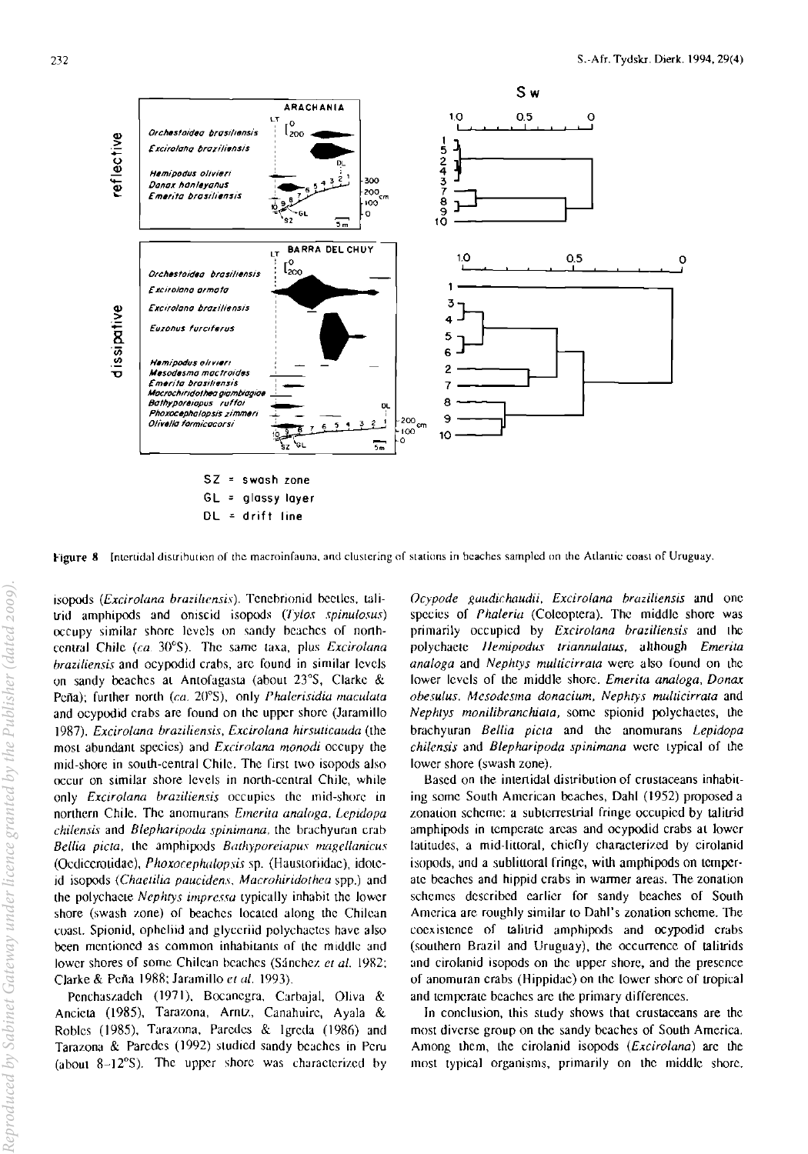

Figure 8 Intertidal distribution of the macroinfauna, and clustering of stations in beaches sampled on the Atlantic coast of Uruguay.

isopods (Excirolana braziliensis). Tenebrionid beetles, talitrid amphipods and oniscid isopods (Tylos spinulosus) occupy similar shore levels on sandy beaches of northcentral Chile (ca. 30°S). The same taxa, plus Excirolana braziliensis and ocypodid crabs, are found in similar levels on sandy beaches at Antofagasta (about 23°S, Clarke & Peña); further north (ca.  $20^{\circ}$ S), only *Phalerisidia maculata* and ocypodid crabs are found on the upper shore (Jaramillo 1987). Excirolana braziliensis, Excirolana hirsuticauda (the most abundant species) and *Excirolana monodi* occupy the mid-shore in south-central Chile. The first two isopods also occur on similar shore levels in north-central Chile, while only *Excirolana braziliensis* occupies the mid-shore in northern Chile. The anomurans *Emerita analoga*, Lepidopa chilensis and Blepharipoda spinimana, the brachyuran crab Bellia picta, the amphipods Bathyporeiapus magellanicus (Oedicerotidae), Phoxocephalopsis sp. (Haustoriidae), idoteid isopods (Chaetilia paucidens, Macrohiridothea spp.) and the polychacte Nephtys impressa typically inhabit the lower shore (swash zone) of beaches located along the Chilean coast. Spionid, opheliid and glyceriid polychaetes have also been mentioned as common inhabitants of the middle and lower shores of some Chilean beaches (Sánchez et al. 1982; Clarke & Peña 1988; Jaramillo et al. 1993).

Penchaszadeh (1971), Bocanegra, Carbajal, Oliva & Ancieta (1985), Tarazona, Arntz, Canahuire, Ayala & Robles (1985), Tarazona, Paredes & Igreda (1986) and Tarazona & Paredes (1992) studied sandy beaches in Peru (about 8-12°S). The upper shore was characterized by Ocypode gaudichaudii, Excirolana braziliensis and one species of Phaleria (Coleoptera). The middle shore was primarily occupied by Excirolana braziliensis and the polychaete Hemipodus triannulatus, although Emerita analoga and Nephtys multicirrata were also found on the lower levels of the middle shore. Emerita analoga, Donax obesulus, Mesodesma donacium, Nephtys multicirrata and Nephtys monilibranchiata, some spionid polychaetes, the brachyuran Bellia picta and the anomurans Lepidopa chilensis and Blepharipoda spinimana were typical of the lower shore (swash zone).

Based on the intertidal distribution of crustaceans inhabiting some South American beaches, Dahl (1952) proposed a zonation scheme: a subterrestrial fringe occupied by talitrid amphipods in temperate areas and ocypodid crabs at lower fatitudes, a mid-littoral, chiefly characterized by cirolanid isopods, and a sublittoral fringe, with amphipods on temperate beaches and hippid crabs in warmer areas. The zonation schemes described earlier for sandy beaches of South America are roughly similar to Dahl's zonation scheme. The coexistence of talitrid amphipods and ocypodid crabs (southern Brazil and Uruguay), the occurrence of talitrids and circlanid isopods on the upper shore, and the presence of anomuran crabs (Hippidae) on the lower shore of tropical and temperate beaches are the primary differences.

In conclusion, this study shows that crustaceans are the most diverse group on the sandy beaches of South America. Among them, the cirolanid isopods (Excirolana) are the most typical organisms, primarily on the middle shore.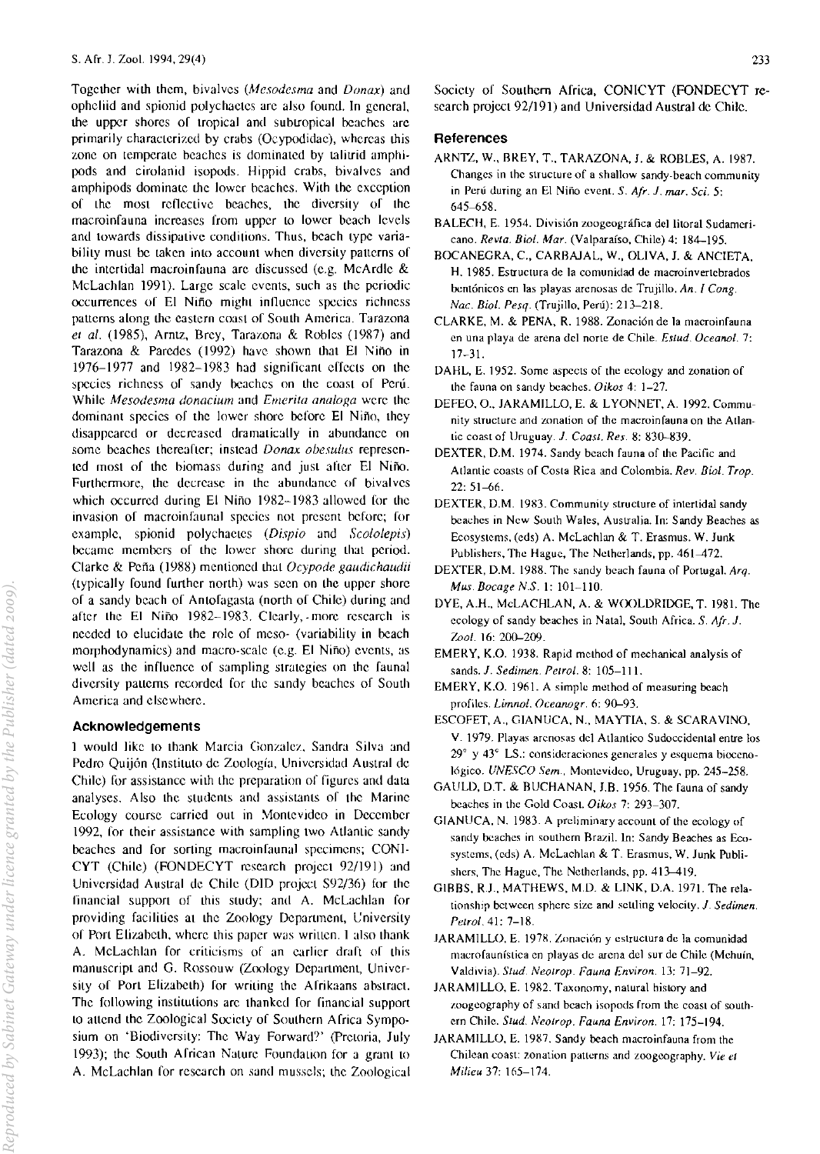Together with them, bivalves *(Mesodesma* and *Donax)* and opheliid and spionid polychaetes arc also found. In general, the upper shores of tropical and subtropical beaches arc primarily characterized by crabs (Ocypodidae), whereas this zone on temperate beaches is dominated by talitrid amphipods and cirolanid isopods. Hippid crabs, bivalves and amphipods dominate the lower beaches. With the exception of the most reflective beaches, the diversity of the macroinfauna increases from upper to lower beach levels and towards dissipative conditions. Thus. beach type variability must be taken into account when diversity patterns of the intertidal macroinfauna arc discussed (e.g. McArdle & McLachlan 1991). Large scale events, such as the periodic occurrences of El Nino might inllucncc species richness patterns along the eastern coast of South America. Tarazona et al. (1985), Arntz, Brey, Tarazona & Robles (1987) and Tarazona & Paredes (1992) have shown that EI Nino in 1976-1977 and 1982-1983 had significant effects on the species richness of sandy beaches on the coast of Peru. While *Mesodesma donacium* and *Emerita analoga* were the dominant species of the lower shore before El Niño, they disappeared or decreased dramatically in abundance on some beaches thereafter; instead *Donax obcsu/us* represented most of the biomass during and just after EI Nino. Furthermore, the decrease in the abundance of bivalves which occurred during El Niño 1982-1983 allowed for the invasion of macroinfaunal species not prescnt before; for example, spionid polychaetes (Dispio and Scololepis) became members of the lower shore during that period. Clarke & Pena (1988) mentioned that *Ocypode gaudichaudii*  (typically found further north) was seen on the upper shore of a sandy beach of Antofagasta (north of Chile) during and after the EI Nino 1982-1983. Clearly, -more research is needed to elucidate the role of meso- (variability in beach morphodynamics) and macro-scale (e.g. El Niño) events, as well as the influence of sampling strategies on the faunal diversity patterns recorded for the sandy beaches of South America and elsewhere.

#### Acknowledgements

1 would like 10 thank Marcia Gonzalez. Sandra Silva and Pedro Quijón (Instituto de Zoología, Universidad Austral de Chile) for assistance with the preparation of figures and data analyses. Also the students and assistants of the Marine Ecology course carried out in Montevideo in December 1992, for their assistance with sampling two Atlantic sandy beaches and for sorting macroinfaunal specimens; CONI-CYT (Chile) (FONDECYT research project 92/191) and Universidad Austral de Chile (DID project 592/36) for the financial support of this study; and A. McLachlan for providing facilities at the Zoology Department, University 01 Port Elizabeth, where this paper was wrillen. I also thank A. McLachlan for criticisms of an earlier draft of this manuscript and G. Rossouw (Zoology Department, University of Port Elizabeth) for writing the Afrikaans abstract. The following institutions arc thanked for financial support to attend the Zoological Society of Southern Africa Symposium on 'Biodiversity: The Way Forward?' (Pretoria, July 1993); the South African Nature Foundation for a grant to A. McLachlan for research on sand mussels; the Zoological Society of Southern Africa, CONICYT (FONDECYT research project 92/191) and Universidad Austral de Chile.

# References

- ARNTL, W., BREY, T., TARAZONA, 1. & ROBLES, A. 1987. Changes in the structure of a shallow sandy-beach community in Peru Juring an El Nino event. S. *Afr.* 1. *mar. Sci. 5:*  645-658.
- BALECH, E. 1954. División zoogeográfica del litoral Sudamericano. *Revla. Bioi. Mar.* (Valparaiso, Chile) 4: 184-195.
- BOCANEGRA, c., CARBAJAL, W., OLIVA, J. & ANCIETA, H. 1985. Estructura de la comunidad de macroinvertcbrados bentónicos en las playas arenosas de Trujillo, An. I Cong. *Nac. Biol. Pesq.* (Trujillo, Perú): 213-218.
- CLARKE, M. & PENA, R. 1988. Zonación de la macroinfauna en una playa de arena del norte de Chile. *Estud. Oceanol.* 7: 17-31.
- DAHL, E. 1952. Some aspects of the ecology and zonation of the rauna on sandy beaches. *Oikos* 4: 1-27.
- DEFEO, O., JARAMILLO, E. & LYONNET, A. 1992. Community structure and zonation of the macroinfauna on the Atlantic coast of Uruguay. J. Coast. Res. 8: 830-839.
- DEXTER, D.M. 1974. Sandy beach fauna of the Pacific and Atlantic coasts of Costa Rica and Colombia. *Rev. Biol. Trop.* 22: 51-66.
- DEXTER, D.M. 1983. Community structure of intertidal sandy beaches in New South Wales, Australia. In: Sandy Beaches as Ecosystems, (cds) A. McLachlan & T. Erasmus. W. Junk Publishers, The Hague, The Netherlands, pp. 461-472.
- DEXTER. D.M. 1988. The sandy beach fauna of Portugal. *Arq. Mus. Bocage NS.* I: 101-110.
- DYE, A.H., McLACHLAN, A. & WOOLDRIDGE, T. 1981. The ecology or sandy beaches in Natal. South Africa. *S. Afr. 1.*  Zool. 16: 200-209.
- EMERY, K.O. 1938. Rapid method or mechanical analysis or sands. 1. *Sedimen. Pelrol.* 8: 105-111.
- EMERY, K.O. 1961. A simple method of measuring beach profiles. *Limnol. Oceanogr.* 6: 90-93.
- ESCOFET, A., GIANUCA, N., MA YTIA, S. & SCARA V1NO. V. 1979. Playas arenosas del Atlantico Sudoccidental entre los 29° y *43<sup>c</sup>*LS.: consideraciones generales y esquema bioceno-16gico. *UNESCO Sem.,* Montevideo. Uruguay, pp. 245-258.
- GAULD, D.T. & BUCHANAN, J.B. 1956. The rauna or sandy beaches in the Gold Coast. Oikos 7: 293-307.
- GIANUCA, N. 1983. A preliminary account of the ecology of sandy beaches in southern Brazil. In: Sandy Beaches as Ecosystems. (cds) A. McLachlan & T. Erasmus. W. Junk Publishers, The Hague, The Netherlands. pp. 413-419.
- GIBBS, R.J., MATHEWS, M.D. & LINK, D.A. 1971. The relationship between spherc size and settling velocity. J. *Sedimen. Pelrol.* 41: 7-18.
- JARAMILLO, E. 1978. Zonación y estructura de la comunidad macrofaunística en playas de arena del sur de Chile (Mehuín, Valdivia). *Slud. Neolrop. Fauna Environ.* 13: 71-92.
- JARAMILLO. E. 1982. Taxonomy. natural history and zoogeography of sand beach isopods from the coast of southern Chile. *Slud. Neolrop. Fauna Environ.* 17; 175-194.
- JARAMILLO, E. 1987. Sandy beach macroinfauna from the Chilean coast: zonation patterns and zoogeography. *Vie el Milieu* 37: 165-174.